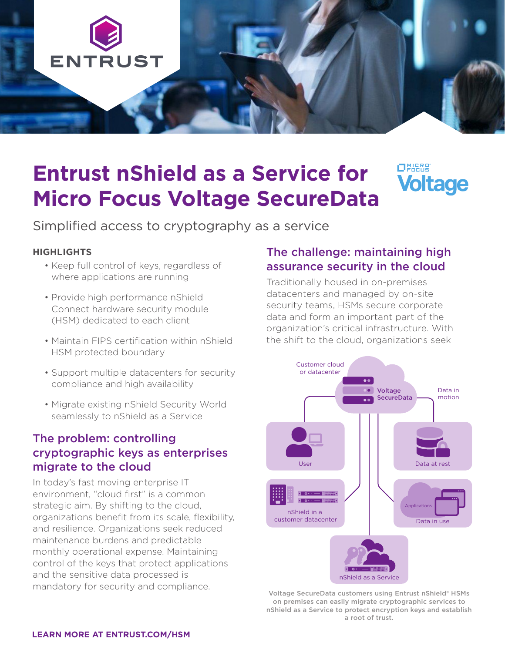

# **Entrust nShield as a Service for Micro Focus Voltage SecureData**

 $O<sub>FockB</sub><sub>Faus</sub>$ *<u><b>lotage</u>* 

Simplified access to cryptography as a service

#### **HIGHLIGHTS**

- Keep full control of keys, regardless of where applications are running
- Provide high performance nShield Connect hardware security module (HSM) dedicated to each client
- Maintain FIPS certification within nShield HSM protected boundary
- Support multiple datacenters for security compliance and high availability
- Migrate existing nShield Security World seamlessly to nShield as a Service

## The problem: controlling cryptographic keys as enterprises migrate to the cloud

In today's fast moving enterprise IT environment, "cloud first" is a common strategic aim. By shifting to the cloud, organizations benefit from its scale, flexibility, and resilience. Organizations seek reduced maintenance burdens and predictable monthly operational expense. Maintaining control of the keys that protect applications and the sensitive data processed is mandatory for security and compliance.

## The challenge: maintaining high assurance security in the cloud

Traditionally housed in on-premises datacenters and managed by on-site security teams, HSMs secure corporate data and form an important part of the organization's critical infrastructure. With the shift to the cloud, organizations seek



Voltage SecureData customers using Entrust nShield® HSMs on premises can easily migrate cryptographic services to nShield as a Service to protect encryption keys and establish a root of trust.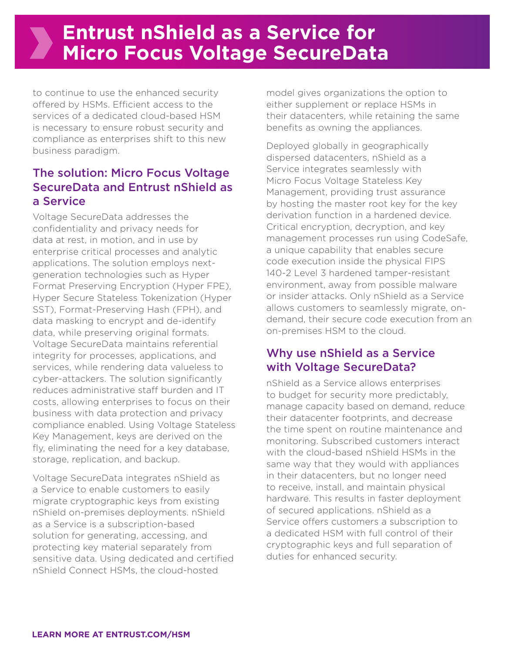to continue to use the enhanced security offered by HSMs. Efficient access to the services of a dedicated cloud-based HSM is necessary to ensure robust security and compliance as enterprises shift to this new business paradigm.

## The solution: Micro Focus Voltage SecureData and Entrust nShield as a Service

Voltage SecureData addresses the confidentiality and privacy needs for data at rest, in motion, and in use by enterprise critical processes and analytic applications. The solution employs nextgeneration technologies such as Hyper Format Preserving Encryption (Hyper FPE), Hyper Secure Stateless Tokenization (Hyper SST), Format-Preserving Hash (FPH), and data masking to encrypt and de-identify data, while preserving original formats. Voltage SecureData maintains referential integrity for processes, applications, and services, while rendering data valueless to cyber-attackers. The solution significantly reduces administrative staff burden and IT costs, allowing enterprises to focus on their business with data protection and privacy compliance enabled. Using Voltage Stateless Key Management, keys are derived on the fly, eliminating the need for a key database, storage, replication, and backup.

Voltage SecureData integrates nShield as a Service to enable customers to easily migrate cryptographic keys from existing nShield on-premises deployments. nShield as a Service is a subscription-based solution for generating, accessing, and protecting key material separately from sensitive data. Using dedicated and certified nShield Connect HSMs, the cloud-hosted

model gives organizations the option to either supplement or replace HSMs in their datacenters, while retaining the same benefits as owning the appliances.

Deployed globally in geographically dispersed datacenters, nShield as a Service integrates seamlessly with Micro Focus Voltage Stateless Key Management, providing trust assurance by hosting the master root key for the key derivation function in a hardened device. Critical encryption, decryption, and key management processes run using CodeSafe, a unique capability that enables secure code execution inside the physical FIPS 140-2 Level 3 hardened tamper-resistant environment, away from possible malware or insider attacks. Only nShield as a Service allows customers to seamlessly migrate, ondemand, their secure code execution from an on-premises HSM to the cloud.

#### Why use nShield as a Service with Voltage SecureData?

nShield as a Service allows enterprises to budget for security more predictably, manage capacity based on demand, reduce their datacenter footprints, and decrease the time spent on routine maintenance and monitoring. Subscribed customers interact with the cloud-based nShield HSMs in the same way that they would with appliances in their datacenters, but no longer need to receive, install, and maintain physical hardware. This results in faster deployment of secured applications. nShield as a Service offers customers a subscription to a dedicated HSM with full control of their cryptographic keys and full separation of duties for enhanced security.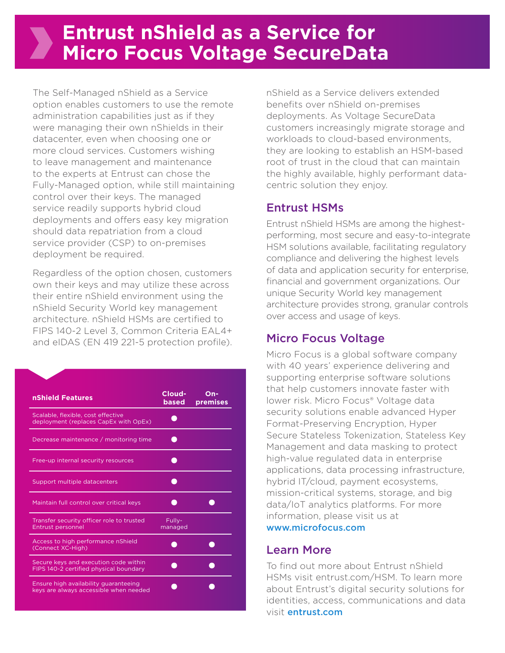**Entrust nShield as a Service for Micro Focus Voltage SecureData**

The Self-Managed nShield as a Service option enables customers to use the remote administration capabilities just as if they were managing their own nShields in their datacenter, even when choosing one or more cloud services. Customers wishing to leave management and maintenance to the experts at Entrust can chose the Fully-Managed option, while still maintaining control over their keys. The managed service readily supports hybrid cloud deployments and offers easy key migration should data repatriation from a cloud service provider (CSP) to on-premises deployment be required.

Regardless of the option chosen, customers own their keys and may utilize these across their entire nShield environment using the nShield Security World key management architecture. nShield HSMs are certified to FIPS 140-2 Level 3, Common Criteria EAL4+ and eIDAS (EN 419 221-5 protection profile).

| nShield Features                                                                | Cloud-<br><b>based</b> | On-<br>premises |
|---------------------------------------------------------------------------------|------------------------|-----------------|
| Scalable, flexible, cost effective<br>deployment (replaces CapEx with OpEx)     |                        |                 |
| Decrease maintenance / monitoring time                                          |                        |                 |
| Free-up internal security resources                                             |                        |                 |
| Support multiple datacenters                                                    |                        |                 |
| Maintain full control over critical keys                                        |                        |                 |
| Transfer security officer role to trusted<br><b>Entrust personnel</b>           | Fully-<br>managed      |                 |
| Access to high performance nShield<br>(Connect XC-High)                         |                        |                 |
| Secure keys and execution code within<br>FIPS 140-2 certified physical boundary |                        |                 |
| Ensure high availability guaranteeing<br>keys are always accessible when needed |                        |                 |
|                                                                                 |                        |                 |

nShield as a Service delivers extended benefits over nShield on-premises deployments. As Voltage SecureData customers increasingly migrate storage and workloads to cloud-based environments, they are looking to establish an HSM-based root of trust in the cloud that can maintain the highly available, highly performant datacentric solution they enjoy.

#### Entrust HSMs

Entrust nShield HSMs are among the highestperforming, most secure and easy-to-integrate HSM solutions available, facilitating regulatory compliance and delivering the highest levels of data and application security for enterprise, financial and government organizations. Our unique Security World key management architecture provides strong, granular controls over access and usage of keys.

## Micro Focus Voltage

Micro Focus is a global software company with 40 years' experience delivering and supporting enterprise software solutions that help customers innovate faster with lower risk. Micro Focus® Voltage data security solutions enable advanced Hyper Format-Preserving Encryption, Hyper Secure Stateless Tokenization, Stateless Key Management and data masking to protect high-value regulated data in enterprise applications, data processing infrastructure, hybrid IT/cloud, payment ecosystems, mission-critical systems, storage, and big data/IoT analytics platforms. For more information, please visit us at www.microfocus.com

#### Learn More

To find out more about Entrust nShield HSMs visit entrust.com/HSM. To learn more about Entrust's digital security solutions for identities, access, communications and data visit entrust.com